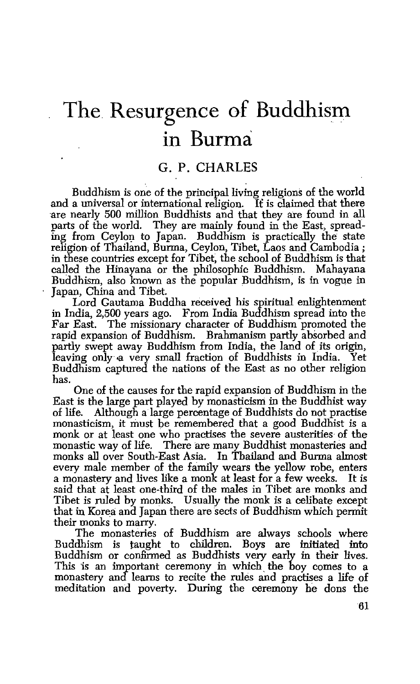# **The Resurgence of Buddhism in Burma**

# G. P. CHARLES

Buddhism is one of the principal living religions of the world and a universal or international religion. It is claimed that there are nearly 500 million Buddhists and that they are found in all parts of the world. They are mainly found in the East, spreading from Ceylon to Japan. Buddhism is practically the state religion of Thailand, Burma, Ceylon, Tibet, Laos and.Cambodia; in these countries except for Tibet, the school of Buddhism is that called the Hinayana or the philosophic Buddhism. Mahayana Buddhism, also known as the popular Buddhism, is in vogue in Japan, China and Tibet.

Lord Gautama Buddha received his spiritual enlightenment in India, 2,500 years ago. From India Buddhism spread into the Far East. The missionary character of Buddhism promoted the rapid expansion of Buddhism. Brahmanism partly absorbed and partly swept away Buddhism from India, the land of its origin, leaving only a very small fraction of Buddhists in India. Yet Buddhism captured the nations of the East as no other religion has.

One of the causes for the rapid expansion of Buddhism in the East is the large part played by monasticism in the Buddhist way of life. Although a large percentage of Buddhists do not practise monasticism, it must be remembered that a good Buddhist is a monk or at least one who practises the severe austerities of the monastic way of life. There are many Buddhist monasteries and monks all over South-East Asia. In Thailand and Burma almost every male member of the family wears the yellow robe, enters a monastery and lives like a monk at least for a few weeks. It is said that at least one-third of the males in Tibet are monks and Tibet is ruled by monks. Usually the monk is a celibate except that in Korea: and Japan there are sects of Buddhism which permit their monks to marry.

The monasteries of Buddhism are always schools where Buddhism is taught to children. Boys are initiated into Buddhism or confirmed as Buddhists very early in their lives. This is an important ceremony in which the boy comes to a monastery and learns to recite the rules and practises a life of meditation and poverty. During the ceremony he dons the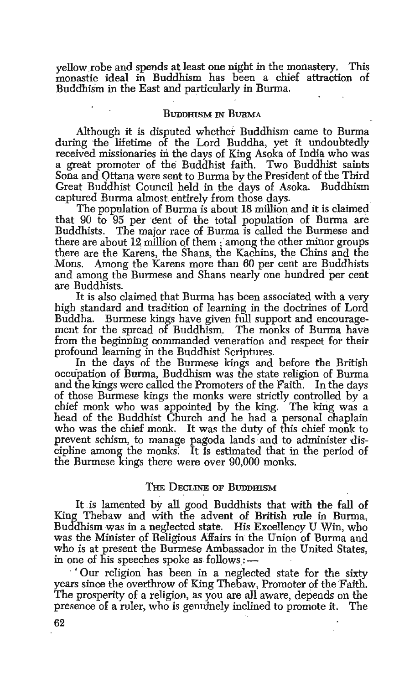yellow robe and spends at least one night in the monastery. This monastic ideal in Buddhism has been a chief attraction of Buddhism in the East and particularly in Burma.

#### BUDDHISM IN BURMA

Although it is disputed whether Buddhism came to Burma during the lifetime of the Lord Buddha, yet it undoubtedly received missionaries in the days of King Asoka of India who was a great promoter of the Buddhist faith. Two Buddhist saints Sona and Ottana were sent to Burma by the President of the Third Great Buddhist Council held in the days of Asoka. Buddhism

The population of Burma is about 18 million and it is claimed that 90 to 95 per cent of the total population of Burma are Buddhists. The major race of Burma is called the Burmese and there are about 12 million of them ; among the other minor groups there are the Karens, the Shans, the Kachins, the Chins and the Mons. Among the Karens more than 60 per cent are Buddhists and among the Burmese and Shans nearly one hundred per cent are Buddhists.

It is also claimed that Burma has been associated with a very high standard and tradition of learning in the doctrines of Lord Buddha. Burmese kings have given full support and encouragement for the spread of Buddhism. The monks of Burma have from the beginning commanded veneration and respect for their profound learning in the Buddhist Scriptures.

In the days of the Burmese kings and before the British occupation of Burma, Buddhism was the state religion of Burma and the kings were called the Promoters of the Faith. In the days of those Burmese kings the monks were strictly controlled by a chief monk who was appointed by the king. The king was a head of the Buddhist Church and he had a personal chaplain who was the chief monk. It was the duty of this chief monk to prevent schism, to manage pagoda lands and to administer discipline among the monks: It is estimated that in the period of the Burmese kings there were over 90,000 monks.

#### THE DECLINE OF BUDDHISM

It is lamented by all good Buddhists that with the fall of King Thebaw and with the advent of British rule in Burma, Buddhism was in a neglected state. His Excellency U Win, who was the Minister of Religious Affairs in the Union of Burma and who is at present the Burmese Ambassador in the United States, in one of his speeches spoke as follows: —

· ' Our religion has been in a neglected state for the sixty years since the overthrow of King Thebaw, Promoter of the Faith. The prosperity of a religion, as you are all aware, depends on the presence of a ruler, who is genuinely inclined to promote it. The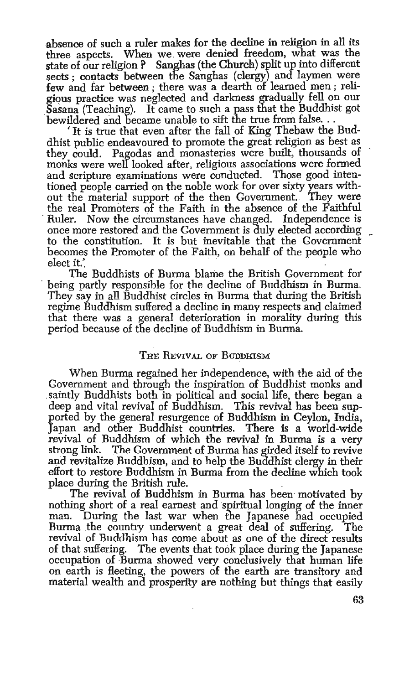absence of such a ruler makes for the decline in religion in all its three aspects. When we were denied freedom, what was the state of our religion *?* Sanghas (the Church) split up into different sects ; contacts between the Sanghas (clergy) and laymen were few and far between ; there was a dearth of learned men ; religious practice was neglected and darkness gradually fell on our Sasana (Teaching). It came to such a pass that the Buddhist got bewildered and became unable to sift the true from false.

It is true that even after the fall of King Thebaw the Buddhist public endeavoured to promote the great religion as best as they could. Pagodas and monasteries were built, thousands of monks were well looked after, religious associations were formed and scripture examinations were conducted. Those good intentioned people carried on the noble work for over sixty years without the material support of the then Government. They were the real Promoters of the Faith in the absence of the Faithful Ruler. Now the circumstances have changed. Independence is once more restored and the Government is duly elected according <sup>~</sup> to the constitution. It is but inevitable that the Government becomes the Promoter of the Faith, on behalf of the people who elect it.

The Buddhists of Burma blame the British Government for being partly responsible for the decline of Buddhism in Burma. They say in all Buddhist circles in Burma that during the British regime Buddhism suffered a decline in many respects and claimed that there was a general deterioration in morality during this period because of the decline of Buddhism in Burma.

# THE REVIVAL OF BUDDHISM

When Burma regained her independence, with the aid of the Government and through the inspiration of Buddhist monks and saintly Buddhists both in political and social life, there began a deep and vital revival of Buddhism. This revival has been sup-<br>ported by the general resurgence of Buddhism in Ceylon, India, Japan and other Buddhist countries. There is a world-wide revival of Buddhism of which the revival in Burma is a very strong link. The Government of Burma has girded itself to revive and revitalize Buddhism, and to help the Buddhist clergy in their effort to restore Buddhism in Burma from the decline which took place during the British rule.

The revival of Buddhism in Burma has been motivated by nothing short of a real earnest and spiritual longing of the inner man. During the last war when the Japanese had occupied Burma the country underwent a great deal of suffering. The revival of Buddhism has come about as one of the direct results of that suffering. The events that took place during the Japanese occupation of ·Burma showed very conclusively that human life on earth is fleeting, the powers of the earth are transitory and material wealth and prosperity are nothing but things that easily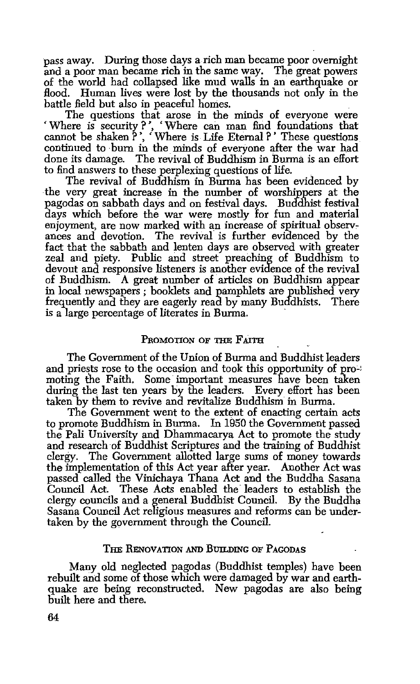pass away. During those days a rich man became poor overnight and a poor man became rich in the same way. The great powers of the world had collapsed like mud walls in an earthquake or flood. Human lives were lost by the thousands not only in the battle field but also in peaceful homes.

The questions that arose in the minds of everyone were ' Where is security ? ', 'Where can man find foundations that cannot be shaken?', 'Where is Life Eternal?' These questions continued to bum in the minds of everyone after the war had done its damage. The revival of Buddhism in Burma is an effort to find answers to these perplexing questions of life.

The revival of Buddhism in Burma has been evidenced by the very great increase in the number of worshippers at the pagodas on sabbath days and on festival days. Buddhist festival days which before the war were mostly for fun and material enjoyment, are now marked with an increase of spiritual observances and devotion. The revival is further evidenced by the fact that the sabbath and lenten days are observed with greater zeal and piety. Public and street preaching of Buddhism to devout and responsive listeners is another evidence of the revival of Buddhism. A great number of articles on Buddhism appear in local newspapers ; booklets and pamphlets are published very frequently and they are eagerly read by many Buddhists. There is a large percentage of literates in Burma.

### PROMOTION OF THE FAITH

The Government of the Union of Burma and Buddhist leaders and priests rose to the occasion and took this opportunity of pro-! moting the Faith. Some important measures have been taken during the last ten years by the leaders. Every effort has been taken by them to revive and revitalize Buddhism in Burma.

The Government went to the extent of enacting certain acts to promote Buddhism in Burma. In 1950 the Government passed the Pali University and Dhammacarya Act to promote the study and research of Buddhist Scriptures and the training of Buddhist clergy. The Government allotted large sums of money towards the implementation of this Act year after year. Another Act was passed called the Vinichaya Thana Act and the Buddha Sasana Council Act. These Acts enabled the- leaders to establish the clergy councils and a general Buddhist Council. By the Buddha Sasana Council Act religious measures and reforms can be undertaken by the government through the Council.

#### THE RENOVATION AND BUILDING OF PAGODAS

Many old neglected pagodas (Buddhist temples) have been rebuilt and some of those which were damaged by war and earthquake are being reconstructed. New pagodas are also being built here and there.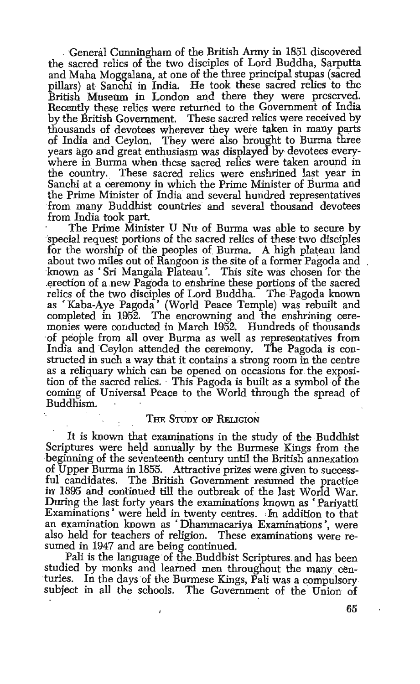.. General Cunningham of the British Anny in 1851 discovered the sacred relics of the two disciples of Lord Buddha, Sarputta and Maha Moggalana, at one of the three principal stupas (sacred pillars) at Sanchi in India. He took these sacred relics to the British Museum in London and there they were preserved. Recently these relics were returned to the Government of India by the British Government. These sacred relics were received by thousands of devotees wherever they were taken in many parts of India and Ceylon, They were also brought to Burma three years ago and great enthusiasm was displayed by devotees everywhere in Burma when these sacred relics were taken around in the country. These sacred relics were enshrined last year in Sanchi at a ceremony in which the Prime Minister of Burma and the Prime Minister of India and several hundred representatives from many Buddhist countries and several thousand devotees from India took part.

The Prime Minister U Nu of Burma was able to secure by special request portions of the sacred relics of these two disciples for the worship of the peoples of Burma. A high plateau land about two miles out of Rangoon is the site of a former Pagoda and known as 'Sri Mangala Plateau'. This site was chosen for the .erection of a new Pagoda to enshrine these portions of the sacred relics of the two disciples of Lord Buddha. The Pagoda known as 'Kaba-Aye Pagoda' (World Peace Temple) was rebuilt and completed in 1952. The encrowning and the enshrining ceremonies were conducted in March 1952. Hundreds of thousands ·of people from all over Burma as well as representatives from India and Ceylon attended the ceremony. The Pagoda is constructed in such a way that it contains a strong room in the centre as a reliquary which can be opened on occasions for the exposition of the sacred relics. This Pagoda is built as a symbol of the coming of Universal Peace to the World through the spread of Buddhism. Buddhism. · · . . .

#### THE STUDY OF RELIGION

It is known that examinations in the study of the Buddhist Scriptures were held annually by the Burmese Kings from the beginning of the seventeenth century until the British annexation of Upper Burma in 1855. Attractive prizes were given to successful candidates. The British Government resumed the practice in 1895 and continued till the outbreak of the last World War. During the last forty years the examinations known as ' Pariyatti Examinations' were held in twenty centres. In addition to that an examination known as 'Dhammacariya Examinations', were also held for teachers of religion. These examinations were resumed in 1947 and are being continued.

Pali is the language of the Buddhist Scriptures and has been studied by monks and learned men throughout the many centuries. In the days of the Burmese Kings, Pali was a compulsory subject in all the schools. The Government of the Union of

65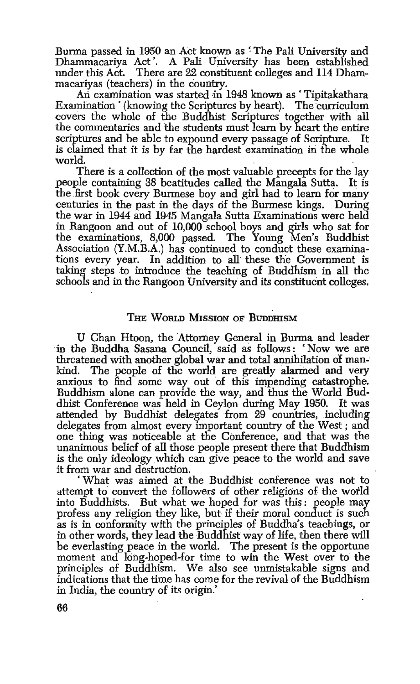Burma passed in 1950 an Act known as 'The Pali University and Dhammacariya Act'. A Pali University has been established under this Act. There are 22 constituent colleges and 114 Dham-<br>macarivas (teachers) in the country.

An examination was started in 1948 known as 'Tipitakathara Examination ' (knowing the Scriptures by heart). The curriculum covers the whole of the Buddhist Scriptures together with all the commentaries and the students must learn by heart the entire scriptures and be able to expound every passage of Scripture. is claimed that it is by far the hardest examination in the whole world. world. The contract of the contract of the contract of the contract of the contract of the contract of the contract of the contract of the contract of the contract of the contract of the contract of the contract of the con

There is a collection of the most valuable precepts for the lay people containing 38 beatitudes called the Mangala Sutta. It is the first book every Burmese boy and girl had to learn for many centuries in the past in the days of the Burmese kings. During the war in 1944 and 1945 Mangala Sutta Examinations were held in Rangoon and out of 10,000 school boys and girls who sat for the examinations, 8,000 passed. The Young Men's Buddhist Association (Y.M.B.A.) has continued to conduct these examinations every year. In addition to all these the Government is taking steps to introduce the teaching of Buddhism in all the schools and in the Rangoon University and its constituent colleges.

#### THE WORLD MISSION OF BUDDHISM

U Chan Htoon, the Attorney General in Burma and leader in the Buddha Sasana Council, said as follows: 'Now we are threatened with another global war and total annihilation of mankind. The people of the world are greatly alarmed and very anxious to find some way out of this impending catastrophe. Buddhism alone can provide the way, and thus the World Buddhist Conference was held in Ceylon during May 1950. It was attended by Buddhist delegates from 29 countries, including delegates from almost every important country of the West; and one thing was noticeable at the Conference, and that was the unanimous belief of all those people present there that Buddhism is the only ideology which can give peace to the world and save it from war and destruction.

' What was aimed at the Buddhist conference was not to attempt to convert the followers of other religions of the world into Buddhists. But what we hoped for was this: people may profess any religion they like, but if their moral conduct is such as is in conformity with the principles of Buddha's teachings, or in other words, they lead the Buddhist way of life, then there will be everlasting peace in the world. The present is the opportune moment and long-hoped-for time to win the West over to the principles of Buddhism. We also see unmistakable signs and indications that the time has come for the revival of the Buddhism in India, the country of its origin.'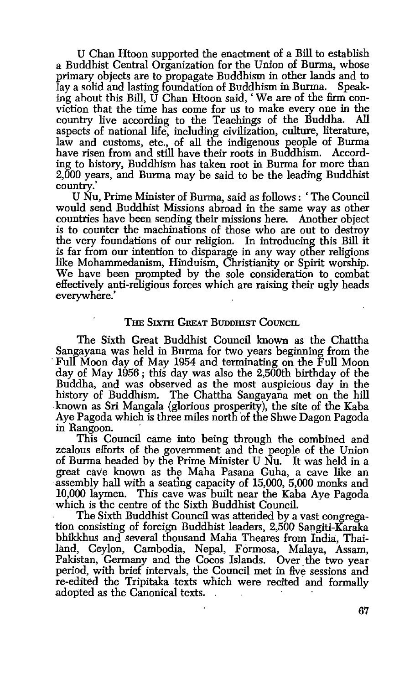U Chan Htoon supported the enactment of a Bill to establish a Buddhist Central Organization for the Union of Burma, whose primary objects are to propagate Buddhism in other lands and to lay a solid and lasting foundation of Buddhism in Burma. Speaking about this Bill, U Chan Htoon said,' We are of the firm conviction that the time has come for us to make every one in the country live according to the Teachings of the Buddha. All country live according to the Teachings of the Buddha. aspects of national life; including civilization, culture, literature, law and customs, etc., of all the indigenous people of Burma have risen from and still have their roots in Buddhism. According to history, Buddhism has taken root in Burma for more than 2,000 years, and Burma may be said to be the leading Buddhist country.'

U Nu, Prime Minister of Burma, said as follows: 'The Council would send Buddhist Missions abroad in the same way as other countries have been sending their missions here. Another object is to counter the machinations of those who are out to destroy the very foundations of our religion. In introducing this Bill it is far from our intention to disparage in any way other religions like Mohammedanism, Hinduism, Christianity or Spirit worship. We have been prompted by the sole consideration to combat effectively anti-religious forces which are raising their ugly heads everywhere.'

#### THE SIXTH GREAT BUDDHIST COUNCIL

The Sixth Great Buddhist Council known as the Chattha Sangayana was held in Burma for two years beginning from the Full Moon day of May 1954 and terminating on the Full Moon day of May 1956 ; this day was also the 2,500th birthday of the Buddha, and was observed as the most auspicious day in the history of Buddhism. The Chattan Sangala (glorious prosperity), the site of the Kaba Aye Pagoda which is three miles north of the Shwe Dagon Pagoda in Rangoon.<br>This Council came into being through the combined and

zealous efforts of the government and the people of the Union of Burma headed by the Prime Minister U Nu. It was held in a great cave known as the Maha Pasana Guha, a cave like an assembly hall with a seating capacity of 15,000, 5,000 monks and 10,000 Iaymen. This cave was built near the Kaba Aye Pagoda

The Sixth Buddhist Council was attended by a vast congregation consisting of foreign Buddhist leaders, 2,500 Sangiti-Karaka bhikkhus and several thousand Maha Theares from India, Thailand, Ceylon, Cambodia, Nepal, Formosa, Malaya, Assam, Pakistan, Germany and the Cocos Islands. Over the two year period, with brief intervals, the Council met in five sessions and re-edited the Tripitaka texts which were recited and formally adopted as the Canonical texts.